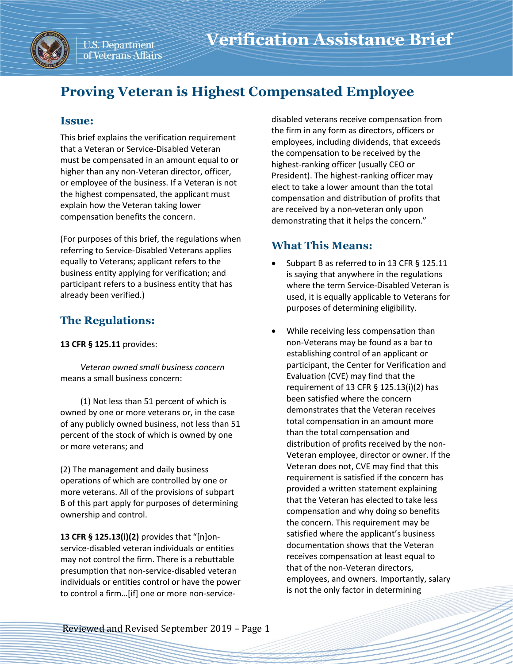

# **Proving Veteran is Highest Compensated Employee**

### **Issue:**

This brief explains the verification requirement that a Veteran or Service-Disabled Veteran must be compensated in an amount equal to or higher than any non-Veteran director, officer, or employee of the business. If a Veteran is not the highest compensated, the applicant must explain how the Veteran taking lower compensation benefits the concern.

(For purposes of this brief, the regulations when referring to Service-Disabled Veterans applies equally to Veterans; applicant refers to the business entity applying for verification; and participant refers to a business entity that has already been verified.)

## **The Regulations:**

#### **13 CFR § 125.11** provides:

*Veteran owned small business concern* means a small business concern:

(1) Not less than 51 percent of which is owned by one or more veterans or, in the case of any publicly owned business, not less than 51 percent of the stock of which is owned by one or more veterans; and

(2) The management and daily business operations of which are controlled by one or more veterans. All of the provisions of subpart B of this part apply for purposes of determining ownership and control.

**13 CFR § 125.13(i)(2)** provides that "[n]onservice-disabled veteran individuals or entities may not control the firm. There is a rebuttable presumption that non-service-disabled veteran individuals or entities control or have the power to control a firm…[if] one or more non-servicedisabled veterans receive compensation from the firm in any form as directors, officers or employees, including dividends, that exceeds the compensation to be received by the highest-ranking officer (usually CEO or President). The highest-ranking officer may elect to take a lower amount than the total compensation and distribution of profits that are received by a non-veteran only upon demonstrating that it helps the concern."

### **What This Means:**

- Subpart B as referred to in 13 CFR § 125.11 is saying that anywhere in the regulations where the term Service-Disabled Veteran is used, it is equally applicable to Veterans for purposes of determining eligibility.
- While receiving less compensation than non-Veterans may be found as a bar to establishing control of an applicant or participant, the Center for Verification and Evaluation (CVE) may find that the requirement of 13 CFR § 125.13(i)(2) has been satisfied where the concern demonstrates that the Veteran receives total compensation in an amount more than the total compensation and distribution of profits received by the non-Veteran employee, director or owner. If the Veteran does not, CVE may find that this requirement is satisfied if the concern has provided a written statement explaining that the Veteran has elected to take less compensation and why doing so benefits the concern. This requirement may be satisfied where the applicant's business documentation shows that the Veteran receives compensation at least equal to that of the non-Veteran directors, employees, and owners. Importantly, salary is not the only factor in determining